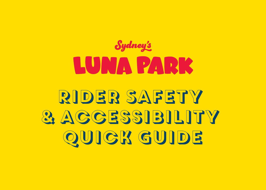## Sydney's **LUNAPARK** RIDER SAFETY **& ACCESSIBILITY** QUIGK GUIDE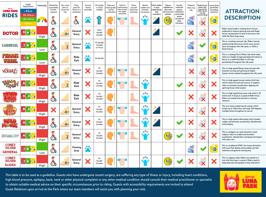| <b>LUNA PARK</b><br><b>RIDES</b>                | Height<br>Requirement<br>< 85cm<br>85-105cm<br>106-131cm<br>$132cm +$                                                                                                                                                                                                                                                                                                                                                                           | Intensity | Wheelchair<br>accessibility<br>Transfer<br>required<br>$\mathbf{O}_i$ | How many<br>stairs to<br>access the<br>ride | Entry<br>point for<br>Guests in a<br>wheelchair<br>$\mathbf{O}$ | Service<br>animal<br>accessible<br>$\cdot$ | Sit upright<br>or stand<br>unaided | Keep your<br>head upright<br>during<br>acceleration | Hold on<br>continuously<br>with at least<br>one upper<br>extremity | <b>Brace</b><br>yourself<br>using lower<br>extremity | Absorb<br>sudden and<br>dramatic<br>movements<br>$\uparrow$ $\uparrow$ $\uparrow$ | Climb a ladder<br>or stairs<br>independently<br>(ride<br>evacuation) | Observe,<br>egotiate and<br>react to the<br>de course and<br>obstacles<br>$\frac{1}{2}$ | Have the<br>mental and<br>physical<br>attributed to<br>use the safety<br>devices<br>correctly and<br>follow<br>instructions | Pregnant<br>riders may<br>ride | Broken bones,<br>plaster casts<br>may not ride<br>(other injuries<br>may also<br>prevent riding) | Loose items<br>permitted<br>(including<br>cameras)<br>$\bigcirc$ | <b>ATTRACTION</b><br><b>DESCRIPTION</b>                                                                                                                                                     |
|-------------------------------------------------|-------------------------------------------------------------------------------------------------------------------------------------------------------------------------------------------------------------------------------------------------------------------------------------------------------------------------------------------------------------------------------------------------------------------------------------------------|-----------|-----------------------------------------------------------------------|---------------------------------------------|-----------------------------------------------------------------|--------------------------------------------|------------------------------------|-----------------------------------------------------|--------------------------------------------------------------------|------------------------------------------------------|-----------------------------------------------------------------------------------|----------------------------------------------------------------------|-----------------------------------------------------------------------------------------|-----------------------------------------------------------------------------------------------------------------------------|--------------------------------|--------------------------------------------------------------------------------------------------|------------------------------------------------------------------|---------------------------------------------------------------------------------------------------------------------------------------------------------------------------------------------|
| ROTOR FOR                                       |                                                                                                                                                                                                                                                                                                                                                                                                                                                 | High      | $\sqrt{m}$<br>$\bf C$                                                 | $4+$                                        | General<br><b>Entry</b>                                         |                                            | Stand<br>Upright<br>Unaided        |                                                     |                                                                    |                                                      |                                                                                   |                                                                      |                                                                                         |                                                                                                                             |                                |                                                                                                  |                                                                  | Riders stand inside a rotating drum and are<br>subjected to intense spinning and centrifugal<br>forces causing them to stick to the drum wall<br>while the floor drops away.                |
| <b>CAROUSEL</b>                                 | $\begin{array}{ c c } \hline \textbf{1} & \textbf{1} & \textbf{1} \\ \hline \textbf{1} & \textbf{1} & \textbf{1} \\ \hline \textbf{1} & \textbf{1} & \textbf{1} \\ \hline \textbf{1} & \textbf{1} & \textbf{1} \\ \hline \textbf{1} & \textbf{1} & \textbf{1} \\ \hline \textbf{1} & \textbf{1} & \textbf{1} \\ \hline \textbf{1} & \textbf{1} & \textbf{1} \\ \hline \textbf{1} & \textbf{1} & \textbf{1} \\ \hline \textbf{1} & \textbf{1} &$ | Low       | $\mathbf{G}$                                                          | $\overline{2}$                              | General<br><b>Entry</b>                                         | $\bullet\bullet$                           | Sit Upright<br>Unaided<br>on Horse |                                                     |                                                                    |                                                      |                                                                                   |                                                                      |                                                                                         |                                                                                                                             |                                |                                                                                                  | $\bigcirc$                                                       | This is a rotating carousel ride. Riders may be<br>seated astride the horses which move up and<br>down throughout the ride cycle, or within a<br>fixed Chariot.                             |
|                                                 | THE O                                                                                                                                                                                                                                                                                                                                                                                                                                           | Low       | $\sqrt{10}$<br>O.                                                     |                                             | Ride<br>Exit                                                    | $\cdot$                                    | Sit Upright                        |                                                     |                                                                    |                                                      |                                                                                   |                                                                      |                                                                                         |                                                                                                                             |                                |                                                                                                  |                                                                  | This is a rotating Ferris Wheel ride which takes<br>riders to a height of approximately 40 metres in<br>the air in a seated Gondola. It will stop<br>periodically throughout the ride cycle |
| VOLAREI                                         | TI Su<br><b>TO</b>                                                                                                                                                                                                                                                                                                                                                                                                                              | High      | $\sqrt{m}$<br>$\mathbf{Q}$                                            | $4+$                                        | General<br><b>Entry</b>                                         |                                            | Sit<br>Upright<br>Unaided          |                                                     |                                                                    |                                                      |                                                                                   |                                                                      |                                                                                         |                                                                                                                             |                                |                                                                                                  |                                                                  | This is a high speed flying swing carousel with<br>dramatic turning and spinning at height.<br>Guests remain seated throughout the ride cycle.                                              |
|                                                 | tÎ <mark>€u</mark>                                                                                                                                                                                                                                                                                                                                                                                                                              | High      | $\sqrt{10}$<br>$\ddot{\textbf{O}}$                                    | $\overline{2}$                              | Ride<br>Exit                                                    | X                                          | Sit<br>Upright<br>Unaided          |                                                     |                                                                    |                                                      | $\Upsilon$                                                                        |                                                                      |                                                                                         |                                                                                                                             |                                |                                                                                                  |                                                                  | This is a high speed circular motion thrill ride<br>which travels forward and reverse. It subjects<br>riders to dramatic acceleration, dipping and<br>spinning forces while seated.         |
|                                                 |                                                                                                                                                                                                                                                                                                                                                                                                                                                 | High      | $\sqrt{10}$<br>0.                                                     |                                             | <b>Ride</b><br>Exit                                             |                                            | Sit<br>Upright<br>Unaided          |                                                     |                                                                    |                                                      | $\uparrow$ $\uparrow$ $\uparrow$                                                  |                                                                      |                                                                                         |                                                                                                                             |                                |                                                                                                  |                                                                  | This is a high speed drop tower ride which is 35<br>metres tall. It drops at a speed of 80km/hour.<br>Riders are seated and secured in a harness<br>restraint.                              |
|                                                 |                                                                                                                                                                                                                                                                                                                                                                                                                                                 | High      | X                                                                     | $4+$                                        | General<br><b>Entry</b>                                         |                                            | Sit<br>Upright<br>Unaided          |                                                     |                                                                    |                                                      | $T_{\uparrow}$                                                                    |                                                                      |                                                                                         |                                                                                                                             |                                |                                                                                                  |                                                                  | This is an inline seated launch coaster which<br>travels up to 72km/hour and loops 360 degrees<br>multiple times throughout its course.                                                     |
| <b>De Coo</b>                                   | イト                                                                                                                                                                                                                                                                                                                                                                                                                                              | High      | $\left(\right)$<br>$\overline{\phantom{a}}$                           | $4+$                                        | General<br>Entry                                                |                                            | Sit<br>Upright<br>Unaided          |                                                     |                                                                    |                                                      | $\uparrow$ $\uparrow$ $\uparrow$                                                  |                                                                      |                                                                                         |                                                                                                                             |                                |                                                                                                  |                                                                  | This is a high speed rollercoaster that includes<br>sudden and dramatic acceleration, deceleration<br>and bumping                                                                           |
| <b>DODGEM CITY</b>                              | ▌ <mark>▝▝▏</mark> ▞╟ <mark>▗▚</mark>                                                                                                                                                                                                                                                                                                                                                                                                           | High      | $\sqrt{m}$<br>O.                                                      | $\overline{2}$                              | General<br><b>Entry</b>                                         |                                            | Sit<br>Upright<br>Unaided          |                                                     |                                                                    |                                                      | $T^{\uparrow}$                                                                    |                                                                      | $\overline{\mathbf{0}}$                                                                 |                                                                                                                             |                                |                                                                                                  |                                                                  | This is a dodgem car style attraction which<br>subjects riders to sudden and dramatic<br>acceleration, deceleration, bumping and impact<br>with other cars.                                 |
| <b>CONEY</b><br><b>ISLAND</b><br><b>GENERAL</b> |                                                                                                                                                                                                                                                                                                                                                                                                                                                 | Low       | $\sqrt{m}$<br>O.                                                      |                                             | Viewing<br>Area                                                 | $\bullet\bullet$                           |                                    |                                                     |                                                                    |                                                      |                                                                                   |                                                                      |                                                                                         |                                                                                                                             |                                |                                                                                                  | 20 J                                                             | This is a traditional 1930's fun house attraction<br>with Luna Park Sydney memorabilia, pin ball<br>machines and general viewing area.                                                      |
| <b>CONEY<br/>ISLAND</b><br><b>SLIDES</b>        |                                                                                                                                                                                                                                                                                                                                                                                                                                                 | High      | $\sqrt{m}$<br>O.                                                      | $4+$                                        | General<br><b>Entry</b>                                         |                                            | Sit<br>Upright<br>Unaided          |                                                     |                                                                    |                                                      | $\Lambda^{\uparrow}$                                                              |                                                                      | $\widehat{\bullet}$                                                                     |                                                                                                                             |                                |                                                                                                  |                                                                  | This is a slippery slide. Riders are seated on a<br>mat with their legs in a pouch. Riders need to<br>keep balanced and upright as they slide down.                                         |

This table is to be used as a guideline. Guests who have undergone recent surgery, are suffering any type of illness or injury, including heart conditions, high blood pressure, epilepsy, back, neck or other physical complaint or any other medical condition should consult their medical practitioner or specialist to obtain suitable medical advice on their specific circumstances prior to riding. Guests with accessibility requirements are invited to attend Guest Relations upon arrival at the Park where our team members will assist you with planning your visit.